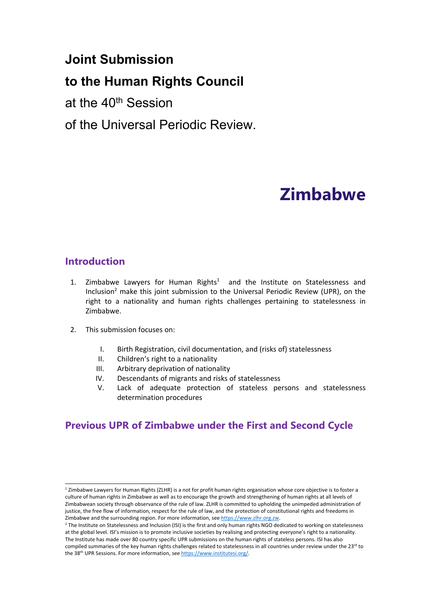# **Joint Submission**

# **to the Human Rights Council**

at the 40<sup>th</sup> Session

of the Universal Periodic Review.

# **Zimbabwe**

## **Introduction**

- 1. Zimbabwe Lawyers for Human Rights<sup>1</sup> and the Institute on Statelessness and Inclusion<sup>2</sup> make this joint submission to the Universal Periodic Review (UPR), on the right to <sup>a</sup> nationality and human rights challenges pertaining to statelessness in Zimbabwe.
- 2. This submission focuses on:
	- I. Birth Registration, civil documentation, and (risks of) statelessness
	- II. Children'<sup>s</sup> right to <sup>a</sup> nationality
	- III. Arbitrary deprivation of nationality
	- IV. Descendants of migrants and risks of statelessness
	- V. Lack of adequate protection of stateless persons and statelessness determination procedures

# **Previous UPR of Zimbabwe under the First and Second Cycle**

<sup>&</sup>lt;sup>1</sup> Zimbabwe Lawyers for Human Rights (ZLHR) is a not for profit human rights organisation whose core objective is to foster a culture of human rights in Zimbabwe as well as to encourage the growth and strengthening of human rights at all levels of Zimbabwean society through observance of the rule of law. ZLHR is committed to upholding the unimpeded administration of justice, the free flow of information, respect for the rule of law, and the protection of constitutional rights and freedoms in Zimbabwe and the surrounding region. For more information, see <https://www.zlhr.org.zw>.

<sup>&</sup>lt;sup>2</sup> The Institute on Statelessness and Inclusion (ISI) is the first and only human rights NGO dedicated to working on statelessness at the global level. ISI'<sup>s</sup> mission is to promote inclusive societies by realising and protecting everyone'<sup>s</sup> right to <sup>a</sup> nationality. The Institute has made over 80 country specific UPR submissions on the human rights of stateless persons. ISI has also compiled summaries of the key human rights challenges related to statelessness in all countries under review under the 23<sup>rd</sup> tc the 38<sup>th</sup> UPR Sessions. For more information, see <https://www.institutesi.org/>.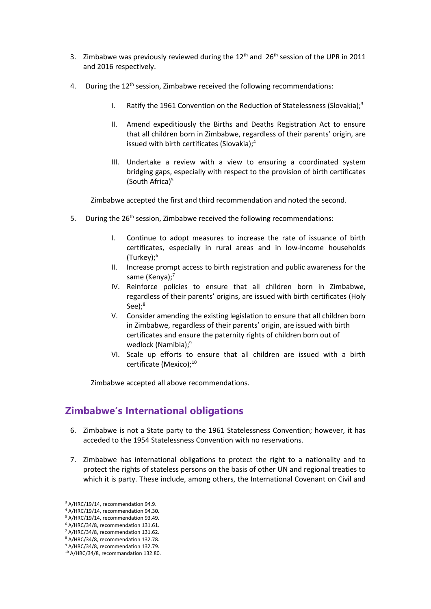- 3. Zimbabwe was previously reviewed during the  $12<sup>th</sup>$  and  $26<sup>th</sup>$  session of the UPR in 2011 and 2016 respectively.
- 4. During the 12<sup>th</sup> session, Zimbabwe received the following recommendations:
	- I. Ratify the 1961 Convention on the Reduction of Statelessness (Slovakia);<sup>3</sup>
	- II. Amend expeditiously the Births and Deaths Registration Act to ensure that all children born in Zimbabwe, regardless of their parents' origin, are issued with birth certificates (Slovakia); 4
	- III. Undertake <sup>a</sup> review with <sup>a</sup> view to ensuring <sup>a</sup> coordinated system bridging gaps, especially with respect to the provision of birth certificates (South Africa) 5

Zimbabwe accepted the first and third recommendation and noted the second.

- 5. During the 26<sup>th</sup> session, Zimbabwe received the following recommendations:
	- I. Continue to adopt measures to increase the rate of issuance of birth certificates, especially in rural areas and in low-income households (Turkey); 6
	- II. Increase prompt access to birth registration and public awareness for the same (Kenya);<sup>7</sup>
	- IV. Reinforce policies to ensure that all children born in Zimbabwe, regardless of their parents' origins, are issued with birth certificates (Holy See); 8
	- V. Consider amending the existing legislation to ensure that all children born in Zimbabwe, regardless of their parents' origin, are issued with birth certificates and ensure the paternity rights of children born out of wedlock (Namibia); 9
	- VI. Scale up efforts to ensure that all children are issued with <sup>a</sup> birth certificate (Mexico);<sup>10</sup>

Zimbabwe accepted all above recommendations.

## **Zimbabwe'<sup>s</sup> International obligations**

- 6. Zimbabwe is not <sup>a</sup> State party to the 1961 Statelessness Convention; however, it has acceded to the 1954 Statelessness Convention with no reservations.
- 7. Zimbabwe has international obligations to protect the right to <sup>a</sup> nationality and to protect the rights of stateless persons on the basis of other UN and regional treaties to which it is party. These include, among others, the International Covenant on Civil and

<sup>&</sup>lt;sup>3</sup> A/HRC/19/14, recommendation 94.9.

<sup>4</sup> A/HRC/19/14, recommendation 94.30.

<sup>5</sup> A/HRC/19/14, recommendation 93.49.

<sup>6</sup> A/HRC/34/8, recommendation 131.61.

<sup>&</sup>lt;sup>7</sup> A/HRC/34/8, recommendation 131.62.

<sup>8</sup> A/HRC/34/8, recommendation 132.78.

<sup>&</sup>lt;sup>9</sup> A/HRC/34/8, recommendation 132.79.

<sup>10</sup> A/HRC/34/8, recommandation 132.80.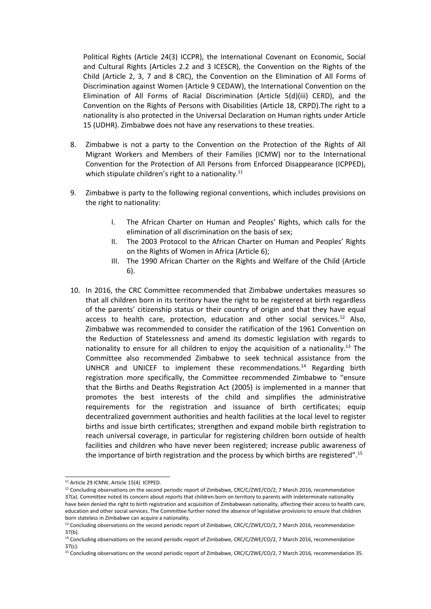Political Rights (Article 24(3) ICCPR), the International Covenant on Economic, Social and Cultural Rights (Articles 2.2 and 3 ICESCR), the Convention on the Rights of the Child (Article 2, 3, 7 and 8 CRC), the Convention on the Elimination of All Forms of Discrimination against Women (Article 9 CEDAW), the International Convention on the Elimination of All Forms of Racial Discrimination (Article 5(d)(iii) CERD), and the Convention on the Rights of Persons with Disabilities (Article 18, CRPD).The right to <sup>a</sup> nationality is also protected in the Universal Declaration on Human rights under Article 15 (UDHR). Zimbabwe does not have any reservations to these treaties.

- 8. Zimbabwe is not <sup>a</sup> party to the Convention on the Protection of the Rights of All Migrant Workers and Members of their Families (ICMW) nor to the International Convention for the Protection of All Persons from Enforced Disappearance (ICPPED), which stipulate children's right to a nationality.<sup>11</sup>
- 9. Zimbabwe is party to the following regional conventions, which includes provisions on the right to nationality:
	- I. The African Charter on Human and Peoples' Rights, which calls for the elimination of all discrimination on the basis of sex;
	- II. The 2003 Protocol to the African Charter on Human and Peoples' Rights on the Rights of Women in Africa (Article 6);
	- III. The 1990 African Charter on the Rights and Welfare of the Child (Article 6).
- 10. In 2016, the CRC Committee recommended that Zimbabwe undertakes measures so that all children born in its territory have the right to be registered at birth regardless of the parents' citizenship status or their country of origin and that they have equal access to health care, protection, education and other social services.<sup>12</sup> Also, Zimbabwe was recommended to consider the ratification of the 1961 Convention on the Reduction of Statelessness and amend its domestic legislation with regards to nationality to ensure for all children to enjoy the acquisition of a nationality.<sup>13</sup> The Committee also recommended Zimbabwe to seek technical assistance from the UNHCR and UNICEF to implement these recommendations. 14 Regarding birth registration more specifically, the Committee recommended Zimbabwe to "ensure that the Births and Deaths Registration Act (2005) is implemented in <sup>a</sup> manner that promotes the best interests of the child and simplifies the administrative requirements for the registration and issuance of birth certificates; equip decentralized government authorities and health facilities at the local level to register births and issue birth certificates; strengthen and expand mobile birth registration to reach universal coverage, in particular for registering children born outside of health facilities and children who have never been registered; increase public awareness of the importance of birth registration and the process by which births are registered".<sup>15</sup>

<sup>&</sup>lt;sup>11</sup> Article 29 ICMW, Article 15(4) ICPPED.

<sup>&</sup>lt;sup>12</sup> Concluding observations on the second periodic report of Zimbabwe, CRC/C/ZWE/CO/2, 7 March 2016, recommendation 37(a). Committee noted its concern about reports that children born on territory to parents with indeterminate nationality have been denied the right to birth registration and acquisition of Zimbabwean nationality, affecting their access to health care, education and other social services. The Committee further noted the absence of legislative provisions to ensure that children born stateless in Zimbabwe can acquire <sup>a</sup> nationality.

<sup>&</sup>lt;sup>13</sup> Concluding observations on the second periodic report of Zimbabwe, CRC/C/ZWE/CO/2, 7 March 2016, recommendation 37(b).

<sup>&</sup>lt;sup>14</sup> Concluding observations on the second periodic report of Zimbabwe, CRC/C/ZWE/CO/2, 7 March 2016, recommendatior 37(c).

<sup>&</sup>lt;sup>15</sup> Concluding observations on the second periodic report of Zimbabwe, CRC/C/ZWE/CO/2, 7 March 2016, recommendation 35.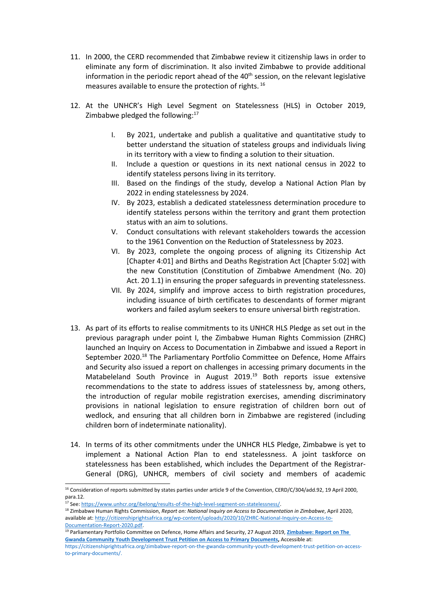- 11. In 2000, the CERD recommended that Zimbabwe review it citizenship laws in order to eliminate any form of discrimination. It also invited Zimbabwe to provide additional information in the periodic report ahead of the 40<sup>th</sup> session, on the relevant legislative measures available to ensure the protection of rights.  $^{16}$
- 12. At the UNHCR'<sup>s</sup> High Level Segment on Statelessness (HLS) in October 2019, Zimbabwe pledged the following:<sup>17</sup>
	- I. By 2021, undertake and publish <sup>a</sup> qualitative and quantitative study to better understand the situation of stateless groups and individuals living in its territory with <sup>a</sup> view to finding <sup>a</sup> solution to their situation.
	- II. Include <sup>a</sup> question or questions in its next national census in 2022 to identify stateless persons living in its territory.
	- III. Based on the findings of the study, develop <sup>a</sup> National Action Plan by 2022 in ending statelessness by 2024.
	- IV. By 2023, establish <sup>a</sup> dedicated statelessness determination procedure to identify stateless persons within the territory and grant them protection status with an aim to solutions.
	- V. Conduct consultations with relevant stakeholders towards the accession to the 1961 Convention on the Reduction of Statelessness by 2023.
	- VI. By 2023, complete the ongoing process of aligning its Citizenship Act [Chapter 4:01] and Births and Deaths Registration Act [Chapter 5:02] with the new Constitution (Constitution of Zimbabwe Amendment (No. 20) Act. 20 1.1) in ensuring the proper safeguards in preventing statelessness.
	- VII. By 2024, simplify and improve access to birth registration procedures, including issuance of birth certificates to descendants of former migrant workers and failed asylum seekers to ensure universal birth registration.
- 13. As part of its efforts to realise commitments to its UNHCR HLS Pledge as set out in the previous paragraph under point I, the Zimbabwe Human Rights Commission (ZHRC) launched an Inquiry on Access to Documentation in Zimbabwe and issued <sup>a</sup> Report in September 2020.<sup>18</sup> The Parliamentary Portfolio Committee on Defence, Home Affairs and Security also issued <sup>a</sup> report on challenges in accessing primary documents in the Matabeleland South Province in August 2019.<sup>19</sup> Both reports issue extensive recommendations to the state to address issues of statelessness by, among others, the introduction of regular mobile registration exercises, amending discriminatory provisions in national legislation to ensure registration of children born out of wedlock, and ensuring that all children born in Zimbabwe are registered (including children born of indeterminate nationality).
- 14. In terms of its other commitments under the UNHCR HLS Pledge, Zimbabwe is yet to implement <sup>a</sup> National Action Plan to end statelessness. A joint taskforce on statelessness has been established, which includes the Department of the Registrar-General (DRG), UNHCR, members of civil society and members of academic

<sup>&</sup>lt;sup>16</sup> Consideration of reports submitted by states parties under article 9 of the Convention, CERD/C/304/add.92, 19 April 2000 para.12.

<sup>&</sup>lt;sup>17</sup> See: <https://www.unhcr.org/ibelong/results-of-the-high-level-segment-on-statelessness/>.

<sup>18</sup> Zimbabwe Human Rights Commission, *Report on: National Inquiry on Access to Documentation in Zimbabwe*, April 2020, available at: [http://citizenshiprightsafrica.org/wp-content/uploads/2020/10/ZHRC-NationaI-Inquiry-on-Access-to-](http://citizenshiprightsafrica.org/wp-content/uploads/2020/10/ZHRC-NationaI-Inquiry-on-Access-to-Documentation-Report-2020.pdf)[Documentation-Report-2020.pdf](http://citizenshiprightsafrica.org/wp-content/uploads/2020/10/ZHRC-NationaI-Inquiry-on-Access-to-Documentation-Report-2020.pdf).

<sup>19</sup> Parliamentary Portfolio Committee on Defence, Home Affairs and Security, 27 August 2019, **[Zimbabwe:](https://citizenshiprightsafrica.org/zimbabwe-report-on-the-gwanda-community-youth-development-trust-petition-on-access-to-primary-documents/) Report on The Gwanda Community Youth [Development](https://citizenshiprightsafrica.org/zimbabwe-report-on-the-gwanda-community-youth-development-trust-petition-on-access-to-primary-documents/) Trust Petition on Access to Primary Documents,** Accessible at:

[https://citizenshiprightsafrica.org/zimbabwe-report-on-the-gwanda-community-youth-development-trust-petition-on-access](https://citizenshiprightsafrica.org/zimbabwe-report-on-the-gwanda-community-youth-development-trust-petition-on-access-to-primary-documents/)[to-primary-documents/](https://citizenshiprightsafrica.org/zimbabwe-report-on-the-gwanda-community-youth-development-trust-petition-on-access-to-primary-documents/).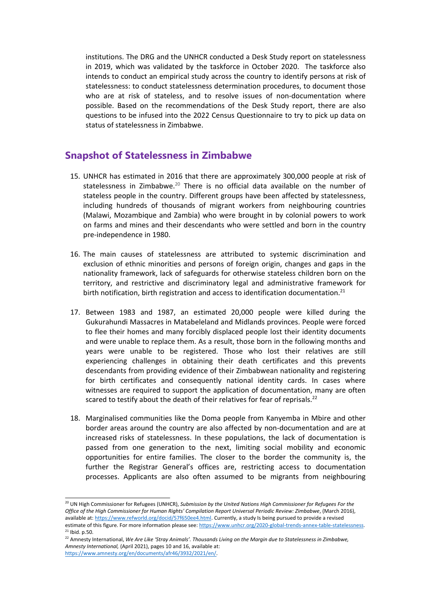institutions. The DRG and the UNHCR conducted <sup>a</sup> Desk Study report on statelessness in 2019, which was validated by the taskforce in October 2020. The taskforce also intends to conduct an empirical study across the country to identify persons at risk of statelessness: to conduct statelessness determination procedures, to document those who are at risk of stateless, and to resolve issues of non-documentation where possible. Based on the recommendations of the Desk Study report, there are also questions to be infused into the 2022 Census Questionnaire to try to pick up data on status of statelessness in Zimbabwe.

#### **Snapshot of Statelessness in Zimbabwe**

- 15. UNHCR has estimated in 2016 that there are approximately 300,000 people at risk of statelessness in Zimbabwe.<sup>20</sup> There is no official data available on the number of stateless people in the country. Different groups have been affected by statelessness, including hundreds of thousands of migrant workers from neighbouring countries (Malawi, Mozambique and Zambia) who were brought in by colonial powers to work on farms and mines and their descendants who were settled and born in the country pre-independence in 1980.
- 16. The main causes of statelessness are attributed to systemic discrimination and exclusion of ethnic minorities and persons of foreign origin, changes and gaps in the nationality framework, lack of safeguards for otherwise stateless children born on the territory, and restrictive and discriminatory legal and administrative framework for birth notification, birth registration and access to identification documentation.<sup>21</sup>
- 17. Between 1983 and 1987, an estimated 20,000 people were killed during the Gukurahundi Massacres in Matabeleland and Midlands provinces. People were forced to flee their homes and many forcibly displaced people lost their identity documents and were unable to replace them. As <sup>a</sup> result, those born in the following months and years were unable to be registered. Those who lost their relatives are still experiencing challenges in obtaining their death certificates and this prevents descendants from providing evidence of their Zimbabwean nationality and registering for birth certificates and consequently national identity cards. In cases where witnesses are required to support the application of documentation, many are often scared to testify about the death of their relatives for fear of reprisals.<sup>22</sup>
- 18. Marginalised communities like the Doma people from Kanyemba in Mbire and other border areas around the country are also affected by non-documentation and are at increased risks of statelessness. In these populations, the lack of documentation is passed from one generation to the next, limiting social mobility and economic opportunities for entire families. The closer to the border the community is, the further the Registrar General'<sup>s</sup> offices are, restricting access to documentation processes. Applicants are also often assumed to be migrants from neighbouring

<sup>20</sup> UN High Commissioner for Refugees (UNHCR), *Submission by the United Nations High Commissioner for Refugees For the Office of the High Commissioner for Human Rights' Compilation Report Universal Periodic Review: Zimbabwe*, (March 2016), available at: <https://www.refworld.org/docid/57f650ee4.html>. Currently, a study Is being pursued to provide a revised estimate of this figure. For more information please see: <https://www.unhcr.org/2020-global-trends-annex-table-statelessness>.  $21$  lbid. p.50.

 $^{22}$  Amnesty International, We Are Like 'Stray Animals'. Thousands Living on the Margin due to Statelessness in Zimbabwe, *Amnesty International,* (April 2021), pages 10 and 16, available at: <https://www.amnesty.org/en/documents/afr46/3932/2021/en/>*.*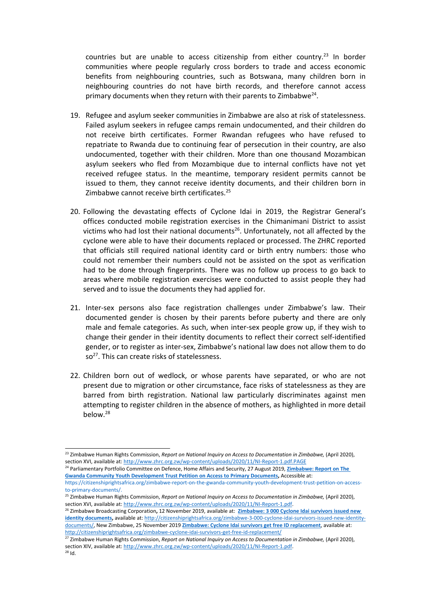countries but are unable to access citizenship from either country.<sup>23</sup> In border communities where people regularly cross borders to trade and access economic benefits from neighbouring countries, such as Botswana, many children born in neighbouring countries do not have birth records, and therefore cannot access primary documents when they return with their parents to Zimbabwe $^{24}$ .

- 19. Refugee and asylum seeker communities in Zimbabwe are also at risk of statelessness. Failed asylum seekers in refugee camps remain undocumented, and their children do not receive birth certificates. Former Rwandan refugees who have refused to repatriate to Rwanda due to continuing fear of persecution in their country, are also undocumented, together with their children. More than one thousand Mozambican asylum seekers who fled from Mozambique due to internal conflicts have not yet received refugee status. In the meantime, temporary resident permits cannot be issued to them, they cannot receive identity documents, and their children born in Zimbabwe cannot receive birth certificates.<sup>25</sup>
- 20. Following the devastating effects of Cyclone Idai in 2019, the Registrar General'<sup>s</sup> offices conducted mobile registration exercises in the Chimanimani District to assist victims who had lost their national documents<sup>26</sup>. Unfortunately, not all affected by the cyclone were able to have their documents replaced or processed. The ZHRC reported that officials still required national identity card or birth entry numbers: those who could not remember their numbers could not be assisted on the spot as verification had to be done through fingerprints. There was no follow up process to go back to areas where mobile registration exercises were conducted to assist people they had served and to issue the documents they had applied for.
- 21. Inter-sex persons also face registration challenges under Zimbabwe'<sup>s</sup> law. Their documented gender is chosen by their parents before puberty and there are only male and female categories. As such, when inter-sex people grow up, if they wish to change their gender in their identity documents to reflect their correct self-identified gender, or to register as inter-sex, Zimbabwe'<sup>s</sup> national law does not allow them to do so<sup>27</sup>. This can create risks of statelessness.
- 22. Children born out of wedlock, or whose parents have separated, or who are not present due to migration or other circumstance, face risks of statelessness as they are barred from birth registration. National law particularly discriminates against men attempting to register children in the absence of mothers, as highlighted in more detail below.<sup>28</sup>

24 Parliamentary Portfolio Committee on Defence, Home Affairs and Security, 27 August 2019, **[Zimbabwe:](https://citizenshiprightsafrica.org/zimbabwe-report-on-the-gwanda-community-youth-development-trust-petition-on-access-to-primary-documents/) Report on The Gwanda Community Youth [Development](https://citizenshiprightsafrica.org/zimbabwe-report-on-the-gwanda-community-youth-development-trust-petition-on-access-to-primary-documents/) Trust Petition on Access to Primary Documents,** Accessible at:

26 Zimbabwe Broadcasting Corporation**,** 12 November 2019, available at: **[Zimbabwe:](http://citizenshiprightsafrica.org/zimbabwe-3-000-cyclone-idai-survivors-issued-new-identity-documents/) 3 000 Cyclone Idai survivors issued new identity [documents,](http://citizenshiprightsafrica.org/zimbabwe-3-000-cyclone-idai-survivors-issued-new-identity-documents/)** available at: [http://citizenshiprightsafrica.org/zimbabwe-3-000-cyclone-idai-survivors-issued-new-identity](http://citizenshiprightsafrica.org/zimbabwe-3-000-cyclone-idai-survivors-issued-new-identity-documents/)[documents/](http://citizenshiprightsafrica.org/zimbabwe-3-000-cyclone-idai-survivors-issued-new-identity-documents/), New Zimbabwe, 25 November 2019 **Zimbabwe: Cyclone Idai survivors get free ID [replacement](http://citizenshiprightsafrica.org/zimbabwe-cyclone-idai-survivors-get-free-id-replacement/)**, available at: <http://citizenshiprightsafrica.org/zimbabwe-cyclone-idai-survivors-get-free-id-replacement/>

27 Zimbabwe Human Rights Commission, *Report on National Inquiry on Access to Documentation in Zimbabwe,* (April 2020), section XIV, available at: <http://www.zhrc.org.zw/wp-content/uploads/2020/11/NI-Report-1.pdf>.  $28$  Id.

<sup>23</sup> Zimbabwe Human Rights Commission, *Report on National Inquiry on Access to Documentation in Zimbabwe,* (April 2020), section XVI, available at: <http://www.zhrc.org.zw/wp-content/uploads/2020/11/NI-Report-1.pdf.PAGE>

[https://citizenshiprightsafrica.org/zimbabwe-report-on-the-gwanda-community-youth-development-trust-petition-on-access](https://citizenshiprightsafrica.org/zimbabwe-report-on-the-gwanda-community-youth-development-trust-petition-on-access-to-primary-documents/)[to-primary-documents/](https://citizenshiprightsafrica.org/zimbabwe-report-on-the-gwanda-community-youth-development-trust-petition-on-access-to-primary-documents/).

<sup>25</sup> Zimbabwe Human Rights Commission, *Report on National Inquiry on Access to Documentation in Zimbabwe,* (April 2020), section XVI, available at: <http://www.zhrc.org.zw/wp-content/uploads/2020/11/NI-Report-1.pdf>.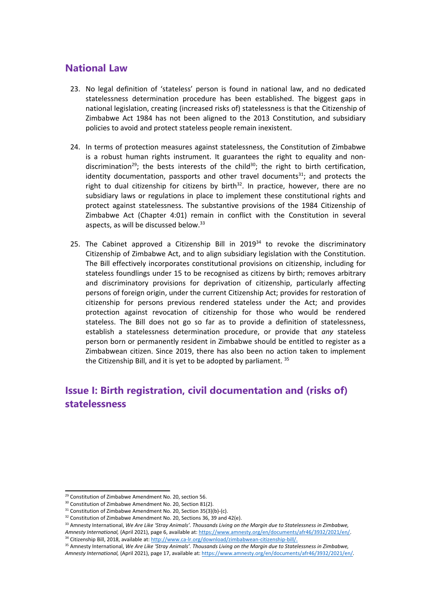#### **National Law**

- 23. No legal definition of 'stateless' person is found in national law, and no dedicated statelessness determination procedure has been established. The biggest gaps in national legislation, creating (increased risks of) statelessness is that the Citizenship of Zimbabwe Act 1984 has not been aligned to the 2013 Constitution, and subsidiary policies to avoid and protect stateless people remain inexistent.
- 24. In terms of protection measures against statelessness, the Constitution of Zimbabwe is <sup>a</sup> robust human rights instrument. It guarantees the right to equality and nondiscrimination<sup>29</sup>; the bests interests of the child<sup>30</sup>; the right to birth certification, identity documentation, passports and other travel documents $^{31}$ ; and protects the right to dual citizenship for citizens by birth $^{32}$ . In practice, however, there are no subsidiary laws or regulations in place to implement these constitutional rights and protect against statelessness. The substantive provisions of the 1984 Citizenship of Zimbabwe Act (Chapter 4:01) remain in conflict with the Constitution in several aspects, as will be discussed below.<sup>33</sup>
- 25. The Cabinet approved a Citizenship Bill in 2019<sup>34</sup> to revoke the discriminatory Citizenship of Zimbabwe Act, and to align subsidiary legislation with the Constitution. The Bill effectively incorporates constitutional provisions on citizenship, including for stateless foundlings under 15 to be recognised as citizens by birth; removes arbitrary and discriminatory provisions for deprivation of citizenship, particularly affecting persons of foreign origin, under the current Citizenship Act; provides for restoration of citizenship for persons previous rendered stateless under the Act; and provides protection against revocation of citizenship for those who would be rendered stateless. The Bill does not go so far as to provide <sup>a</sup> definition of statelessness, establish <sup>a</sup> statelessness determination procedure, or provide that *any* stateless person born or permanently resident in Zimbabwe should be entitled to register as <sup>a</sup> Zimbabwean citizen. Since 2019, there has also been no action taken to implement the Citizenship Bill, and it is yet to be adopted by parliament. <sup>35</sup>

## **Issue I: Birth registration, civil documentation and (risks of) statelessness**

<sup>&</sup>lt;sup>29</sup> Constitution of Zimbabwe Amendment No. 20, section 56.

<sup>&</sup>lt;sup>30</sup> Constitution of Zimbabwe Amendment No. 20, Section 81(2).

 $31$  Constitution of Zimbabwe Amendment No. 20, Section 35(3)(b)-(c).

 $32$  Constitution of Zimbabwe Amendment No. 20, Sections 36, 39 and 42(e).

<sup>&</sup>lt;sup>33</sup> Amnesty International, We Are Like 'Stray Animals'. Thousands Living on the Margin due to Statelessness in Zimbabwe, *Amnesty International,* (April 2021), page 6, available at: <https://www.amnesty.org/en/documents/afr46/3932/2021/en/>. <sup>34</sup> Citizenship Bill, 2018, available at: <http://www.ca-lr.org/download/zimbabwean-citizenship-bill/>.

<sup>&</sup>lt;sup>35</sup> Amnesty International, We Are Like 'Stray Animals'. Thousands Living on the Margin due to Statelessness in Zimbabwe,

*Amnesty International,* (April 2021), page 17, available at: <https://www.amnesty.org/en/documents/afr46/3932/2021/en/>*.*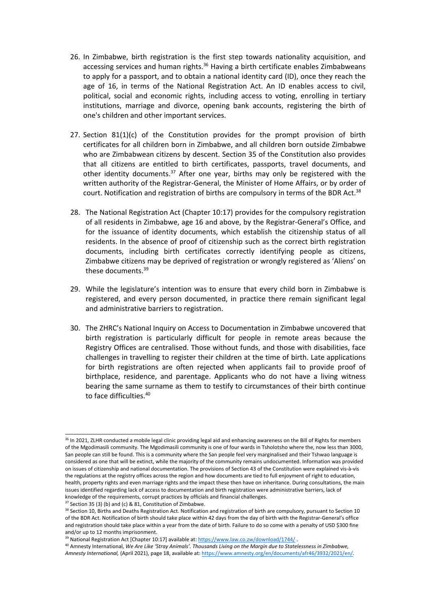- 26. In Zimbabwe, birth registration is the first step towards nationality acquisition, and accessing services and human rights.<sup>36</sup> Having a birth certificate enables Zimbabweans to apply for <sup>a</sup> passport, and to obtain <sup>a</sup> national identity card (ID), once they reach the age of 16, in terms of the National Registration Act. An ID enables access to civil, political, social and economic rights, including access to voting, enrolling in tertiary institutions, marriage and divorce, opening bank accounts, registering the birth of one's children and other important services.
- 27. Section  $81(1)(c)$  of the Constitution provides for the prompt provision of birth certificates for all children born in Zimbabwe, and all children born outside Zimbabwe who are Zimbabwean citizens by descent. Section 35 of the Constitution also provides that all citizens are entitled to birth certificates, passports, travel documents, and other identity documents.<sup>37</sup> After one year, births may only be registered with the written authority of the Registrar-General, the Minister of Home Affairs, or by order of court. Notification and registration of births are compulsory in terms of the BDR Act.<sup>38</sup>
- 28. The National Registration Act (Chapter 10:17) provides for the compulsory registration of all residents in Zimbabwe, age 16 and above, by the Registrar-General'<sup>s</sup> Office, and for the issuance of identity documents, which establish the citizenship status of all residents. In the absence of proof of citizenship such as the correct birth registration documents, including birth certificates correctly identifying people as citizens, Zimbabwe citizens may be deprived of registration or wrongly registered as 'Aliens' on these documents.<sup>39</sup>
- 29. While the legislature'<sup>s</sup> intention was to ensure that every child born in Zimbabwe is registered, and every person documented, in practice there remain significant legal and administrative barriers to registration.
- 30. The ZHRC'<sup>s</sup> National Inquiry on Access to Documentation in Zimbabwe uncovered that birth registration is particularly difficult for people in remote areas because the Registry Offices are centralised. Those without funds, and those with disabilities, face challenges in travelling to register their children at the time of birth. Late applications for birth registrations are often rejected when applicants fail to provide proof of birthplace, residence, and parentage. Applicants who do not have <sup>a</sup> living witness bearing the same surname as them to testify to circumstances of their birth continue to face difficulties. 40

<sup>&</sup>lt;sup>36</sup> In 2021, ZLHR conducted a mobile legal clinic providing legal aid and enhancing awareness on the Bill of Rights for members of the Mgodimasili community. The Mgodimasili community is one of four wards in Tsholotsho where the, now less than 3000, San people can still be found. This is <sup>a</sup> community where the San people feel very marginalised and their Tshwao language is considered as one that will be extinct, while the majority of the community remains undocumented. Information was provided on issues of citizenship and national documentation. The provisions of Section 43 of the Constitution were explained vis-à-vis the regulations at the registry offices across the region and how documents are tied to full enjoyment of right to education, health, property rights and even marriage rights and the impact these then have on inheritance. During consultations, the main issues identified regarding lack of access to documentation and birth registration were administrative barriers, lack of knowledge of the requirements, corrupt practices by officials and financial challenges.

 $37$  Section 35 (3) (b) and (c) & 81, Constitution of Zimbabwe.

<sup>&</sup>lt;sup>38</sup> Section 10, Births and Deaths Registration Act. Notification and registration of birth are compulsory, pursuant to Section 10 of the BDR Act. Notification of birth should take place within 42 days from the day of birth with the Registrar-General'<sup>s</sup> office and registration should take place within <sup>a</sup> year from the date of birth. Failure to do so come with <sup>a</sup> penalty of USD \$300 fine and/or up to 12 months imprisonment.

<sup>&</sup>lt;sup>39</sup> National Registration Act [Chapter 10:17] available at: <https://www.law.co.zw/download/1744/>

<sup>&</sup>lt;sup>40</sup> Amnesty International, We Are Like 'Stray Animals'. Thousands Living on the Margin due to Statelessness in Zimbabwe, *Amnesty International,* (April 2021), page 18, available at: <https://www.amnesty.org/en/documents/afr46/3932/2021/en/>*.*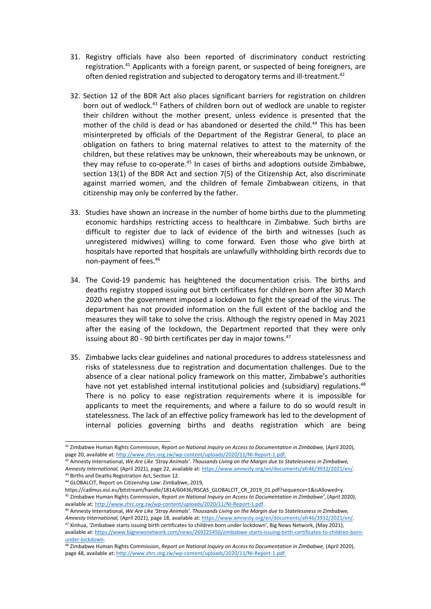- 31. Registry officials have also been reported of discriminatory conduct restricting registration.<sup>41</sup> Applicants with a foreign parent, or suspected of being foreigners, are often denied registration and subjected to derogatory terms and ill-treatment.<sup>42</sup>
- 32. Section 12 of the BDR Act also places significant barriers for registration on children born out of wedlock.<sup>43</sup> Fathers of children born out of wedlock are unable to register their children without the mother present, unless evidence is presented that the mother of the child is dead or has abandoned or deserted the child. 44 This has been misinterpreted by officials of the Department of the Registrar General, to place an obligation on fathers to bring maternal relatives to attest to the maternity of the children, but these relatives may be unknown, their whereabouts may be unknown, or they may refuse to co-operate.<sup>45</sup> In cases of births and adoptions outside Zimbabwe, section 13(1) of the BDR Act and section 7(5) of the Citizenship Act, also discriminate against married women, and the children of female Zimbabwean citizens, in that citizenship may only be conferred by the father.
- 33. Studies have shown an increase in the number of home births due to the plummeting economic hardships restricting access to healthcare in Zimbabwe. Such births are difficult to register due to lack of evidence of the birth and witnesses (such as unregistered midwives) willing to come forward. Even those who give birth at hospitals have reported that hospitals are unlawfully withholding birth records due to non-payment of fees. 46
- 34. The Covid-19 pandemic has heightened the documentation crisis. The births and deaths registry stopped issuing out birth certificates for children born after 30 March 2020 when the government imposed <sup>a</sup> lockdown to fight the spread of the virus. The department has not provided information on the full extent of the backlog and the measures they will take to solve the crisis. Although the registry opened in May 2021 after the easing of the lockdown, the Department reported that they were only issuing about 80 - 90 birth certificates per day in major towns. 47
- 35. Zimbabwe lacks clear guidelines and national procedures to address statelessness and risks of statelessness due to registration and documentation challenges. Due to the absence of <sup>a</sup> clear national policy framework on this matter, Zimbabwe'<sup>s</sup> authorities have not yet established internal institutional policies and (subsidiary) regulations.<sup>48</sup> There is no policy to ease registration requirements where it is impossible for applicants to meet the requirements, and where <sup>a</sup> failure to do so would result in statelessness. The lack of an effective policy framework has led to the development of internal policies governing births and deaths registration which are being

<sup>41</sup> Zimbabwe Human Rights Commission, *Report on National Inquiry on Access to Documentation in Zimbabwe,* (April 2020), page 20, available at: <http://www.zhrc.org.zw/wp-content/uploads/2020/11/NI-Report-1.pdf>.

 $^{42}$  Amnesty International, We Are Like 'Stray Animals'. Thousands Living on the Margin due to Statelessness in Zimbabwe, *Amnesty International,* (April 2021), page 22, available at: <https://www.amnesty.org/en/documents/afr46/3932/2021/en/>*.* <sup>43</sup> Births and Deaths Registration Act, Section 12.

<sup>44</sup> GLOBALCIT, Report on Citizenship Law: Zimbabwe, 2019,

https://cadmus.eui.eu/bitstream/handle/1814/60436/RSCAS\_GLOBALCIT\_CR\_2019\_01.pdf?sequence=1&isAllowed=y. 45 Zimbabwe Human Rights Commission, *Report on National Inquiry on Access to Documentation in Zimbabwe'*, (April 2020), available at: <http://www.zhrc.org.zw/wp-content/uploads/2020/11/NI-Report-1.pdf>.

<sup>&</sup>lt;sup>46</sup> Amnesty International, We Are Like 'Stray Animals'. Thousands Living on the Margin due to Statelessness in Zimbabwe, *Amnesty International,* (April 2021), page 18, available at: <https://www.amnesty.org/en/documents/afr46/3932/2021/en/>*.*

<sup>&</sup>lt;sup>47</sup> Xinhua, 'Zimbabwe starts issuing birth certificates to children born under lockdown', Big News Network, (May 2021), available at: [https://www.bignewsnetwork.com/news/269225450/zimbabwe-starts-issuing-birth-certificates-to-children-born](https://www.bignewsnetwork.com/news/269225450/zimbabwe-starts-issuing-birth-certificates-to-children-born-under-lockdown)[under-lockdown](https://www.bignewsnetwork.com/news/269225450/zimbabwe-starts-issuing-birth-certificates-to-children-born-under-lockdown).

<sup>48</sup> Zimbabwe Human Rights Commission, *Report on National Inquiry on Access to Documentation in Zimbabwe,* (April 2020), page 48, available at: <http://www.zhrc.org.zw/wp-content/uploads/2020/11/NI-Report-1.pdf>.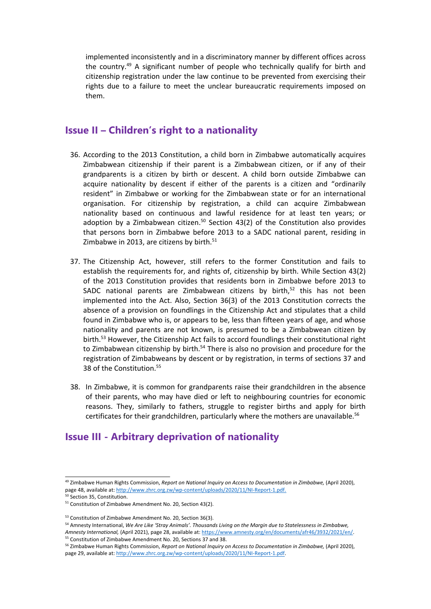implemented inconsistently and in <sup>a</sup> discriminatory manner by different offices across the country.<sup>49</sup> A significant number of people who technically qualify for birth and citizenship registration under the law continue to be prevented from exercising their rights due to <sup>a</sup> failure to meet the unclear bureaucratic requirements imposed on them.

#### **Issue II – Children'<sup>s</sup> right to <sup>a</sup> nationality**

- 36. According to the 2013 Constitution, <sup>a</sup> child born in Zimbabwe automatically acquires Zimbabwean citizenship if their parent is <sup>a</sup> Zimbabwean citizen, or if any of their grandparents is <sup>a</sup> citizen by birth or descent. A child born outside Zimbabwe can acquire nationality by descent if either of the parents is <sup>a</sup> citizen and "ordinarily resident" in Zimbabwe or working for the Zimbabwean state or for an international organisation. For citizenship by registration, <sup>a</sup> child can acquire Zimbabwean nationality based on continuous and lawful residence for at least ten years; or adoption by a Zimbabwean citizen. $^{\mathsf{50}}$  Section 43(2) of the Constitution also provides that persons born in Zimbabwe before 2013 to <sup>a</sup> SADC national parent, residing in Zimbabwe in 2013, are citizens by birth.<sup>51</sup>
- 37. The Citizenship Act, however, still refers to the former Constitution and fails to establish the requirements for, and rights of, citizenship by birth. While Section 43(2) of the 2013 Constitution provides that residents born in Zimbabwe before 2013 to SADC national parents are Zimbabwean citizens by birth,<sup>52</sup> this has not been implemented into the Act. Also, Section 36(3) of the 2013 Constitution corrects the absence of <sup>a</sup> provision on foundlings in the Citizenship Act and stipulates that <sup>a</sup> child found in Zimbabwe who is, or appears to be, less than fifteen years of age, and whose nationality and parents are not known, is presumed to be <sup>a</sup> Zimbabwean citizen by birth.<sup>53</sup> However, the Citizenship Act fails to accord foundlings their constitutional right to Zimbabwean citizenship by birth.<sup>54</sup> There is also no provision and procedure for the registration of Zimbabweans by descent or by registration, in terms of sections 37 and 38 of the Constitution. 55
- 38. In Zimbabwe, it is common for grandparents raise their grandchildren in the absence of their parents, who may have died or left to neighbouring countries for economic reasons. They, similarly to fathers, struggle to register births and apply for birth certificates for their grandchildren, particularly where the mothers are unavailable.<sup>56</sup>

#### **Issue III - Arbitrary deprivation of nationality**

<sup>54</sup> Amnesty International, We Are Like 'Stray Animals'. Thousands Living on the Margin due to Statelessness in Zimbabwe, *Amnesty International,* (April 2021), page 28, available at: <https://www.amnesty.org/en/documents/afr46/3932/2021/en/>.

<sup>49</sup> Zimbabwe Human Rights Commission, *Report on National Inquiry on Access to Documentation in Zimbabwe,* (April 2020), page 48, available at: <http://www.zhrc.org.zw/wp-content/uploads/2020/11/NI-Report-1.pdf>.

<sup>50</sup> Section 35, Constitution.

<sup>&</sup>lt;sup>51</sup> Constitution of Zimbabwe Amendment No. 20, Section 43(2).

<sup>&</sup>lt;sup>53</sup> Constitution of Zimbabwe Amendment No. 20, Section 36(3).

<sup>55</sup> Constitution of Zimbabwe Amendment No. 20, Sections 37 and 38.

<sup>56</sup> Zimbabwe Human Rights Commission, *Report on National Inquiry on Access to Documentation in Zimbabwe,* (April 2020), page 29, available at: <http://www.zhrc.org.zw/wp-content/uploads/2020/11/NI-Report-1.pdf>.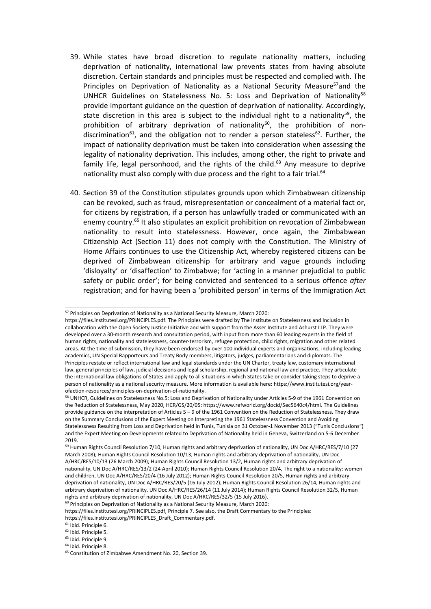- 39. While states have broad discretion to regulate nationality matters, including deprivation of nationality, international law prevents states from having absolute discretion. Certain standards and principles must be respected and complied with. The Principles on Deprivation of Nationality as a National Security Measure<sup>57</sup>and the UNHCR Guidelines on Statelessness No. 5: Loss and Deprivation of Nationality<sup>58</sup> provide important guidance on the question of deprivation of nationality. Accordingly, state discretion in this area is subject to the individual right to a nationality<sup>59</sup>, the prohibition of arbitrary deprivation of nationality<sup>60</sup>, the prohibition of nondiscrimination<sup>61</sup>, and the obligation not to render a person stateless<sup>62</sup>. Further, the impact of nationality deprivation must be taken into consideration when assessing the legality of nationality deprivation. This includes, among other, the right to private and family life, legal personhood, and the rights of the child.<sup>63</sup> Any measure to deprive nationality must also comply with due process and the right to a fair trial. $^{64}$
- 40. Section 39 of the Constitution stipulates grounds upon which Zimbabwean citizenship can be revoked, such as fraud, misrepresentation or concealment of <sup>a</sup> material fact or, for citizens by registration, if <sup>a</sup> person has unlawfully traded or communicated with an enemy country.<sup>65</sup> It also stipulates an explicit prohibition on revocation of Zimbabwean nationality to result into statelessness. However, once again, the Zimbabwean Citizenship Act (Section 11) does not comply with the Constitution. The Ministry of Home Affairs continues to use the Citizenship Act, whereby registered citizens can be deprived of Zimbabwean citizenship for arbitrary and vague grounds including 'disloyalty' or 'disaffection' to Zimbabwe; for 'acting in <sup>a</sup> manner prejudicial to public safety or public order'; for being convicted and sentenced to <sup>a</sup> serious offence *after* registration; and for having been <sup>a</sup> 'prohibited person' in terms of the Immigration Act

<sup>61</sup> Ibid. Principle 6.

<sup>&</sup>lt;sup>57</sup> Principles on Deprivation of Nationality as a National Security Measure, March 2020

https://files.institutesi.org/PRINCIPLES.pdf. The Principles were drafted by The Institute on Statelessness and Inclusion in collaboration with the Open Society Justice Initiative and with support from the Asser Institute and Ashurst LLP. They were developed over <sup>a</sup> 30-month research and consultation period, with input from more than 60 leading experts in the field of human rights, nationality and statelessness, counter-terrorism, refugee protection, child rights, migration and other related areas. At the time of submission, they have been endorsed by over 100 individual experts and organisations, including leading academics, UN Special Rapporteurs and Treaty Body members, litigators, judges, parliamentarians and diplomats. The Principles restate or reflect international law and legal standards under the UN Charter, treaty law, customary international law, general principles of law, judicial decisions and legal scholarship, regional and national law and practice. They articulate the international law obligations of States and apply to all situations in which States take or consider taking steps to deprive <sup>a</sup> person of nationality as <sup>a</sup> national security measure. More information is available here: https://www.institutesi.org/yearofaction-resources/principles-on-deprivation-of-nationality.

<sup>&</sup>lt;sup>58</sup> UNHCR, Guidelines on Statelessness No.5: Loss and Deprivation of Nationality under Articles 5-9 of the 1961 Convention on the Reduction of Statelessness, May 2020, HCR/GS/20/05: https://www.refworld.org/docid/5ec5640c4/html. The Guidelines provide guidance on the interpretation of Articles 5 – 9 of the 1961 Convention on the Reduction of Statelessness. They draw on the Summary Conclusions of the Expert Meeting on Interpreting the 1961 Statelessness Convention and Avoiding Statelessness Resulting from Loss and Deprivation held in Tunis, Tunisia on 31 October-1 November 2013 ("Tunis Conclusions") and the Expert Meeting on Developments related to Deprivation of Nationality held in Geneva, Switzerland on 5-6 December 2019.

<sup>59</sup> Human Rights Council Resolution 7/10, Human rights and arbitrary deprivation of nationality, UN Doc A/HRC/RES/7/10 (27 March 2008); Human Rights Council Resolution 10/13, Human rights and arbitrary deprivation of nationality, UN Doc A/HRC/RES/10/13 (26 March 2009); Human Rights Council Resolution 13/2, Human rights and arbitrary deprivation of nationality, UN Doc A/HRC/RES/13/2 (24 April 2010); Human Rights Council Resolution 20/4, The right to <sup>a</sup> nationality: women and children, UN Doc A/HRC/RES/20/4 (16 July 2012); Human Rights Council Resolution 20/5, Human rights and arbitrary deprivation of nationality, UN Doc A/HRC/RES/20/5 (16 July 2012); Human Rights Council Resolution 26/14, Human rights and arbitrary deprivation of nationality, UN Doc A/HRC/RES/26/14 (11 July 2014); Human Rights Council Resolution 32/5, Human rights and arbitrary deprivation of nationality, UN Doc A/HRC/RES/32/5 (15 July 2016).

<sup>&</sup>lt;sup>60</sup> Principles on Deprivation of Nationality as a National Security Measure, March 2020

https://files.institutesi.org/PRINCIPLES.pdf, Principle 7. See also, the Draft Commentary to the Principles:

https://files.institutesi.org/PRINCIPLES\_Draft\_Commentary.pdf.

<sup>&</sup>lt;sup>62</sup> Ibid. Principle 5.

<sup>&</sup>lt;sup>63</sup> Ibid. Principle 9.

<sup>&</sup>lt;sup>64</sup> Ibid. Principle 8.

<sup>65</sup> Constitution of Zimbabwe Amendment No. 20, Section 39.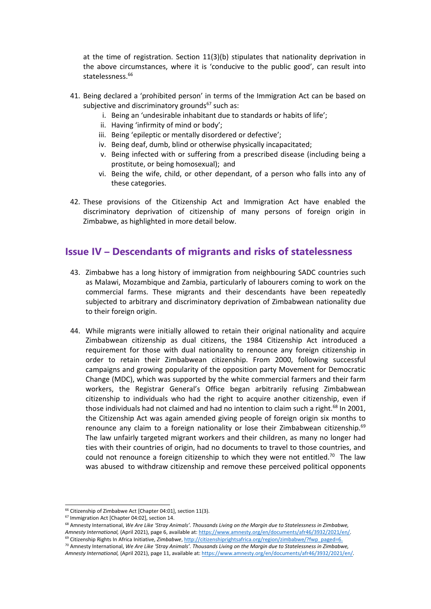at the time of registration. Section 11(3)(b) stipulates that nationality deprivation in the above circumstances, where it is 'conducive to the public good', can result into statelessness. 66

- 41. Being declared <sup>a</sup> 'prohibited person' in terms of the Immigration Act can be based on subjective and discriminatory grounds<sup>67</sup> such as:
	- i. Being an 'undesirable inhabitant due to standards or habits of life';
	- ii. Having 'infirmity of mind or body';
	- iii. Being 'epileptic or mentally disordered or defective';
	- iv. Being deaf, dumb, blind or otherwise physically incapacitated;
	- v. Being infected with or suffering from <sup>a</sup> prescribed disease (including being <sup>a</sup> prostitute, or being homosexual); and
	- vi. Being the wife, child, or other dependant, of <sup>a</sup> person who falls into any of these categories.
- 42. These provisions of the Citizenship Act and Immigration Act have enabled the discriminatory deprivation of citizenship of many persons of foreign origin in Zimbabwe, as highlighted in more detail below.

#### **Issue IV – Descendants of migrants and risks of statelessness**

- 43. Zimbabwe has <sup>a</sup> long history of immigration from neighbouring SADC countries such as Malawi, Mozambique and Zambia, particularly of labourers coming to work on the commercial farms. These migrants and their descendants have been repeatedly subjected to arbitrary and discriminatory deprivation of Zimbabwean nationality due to their foreign origin.
- 44. While migrants were initially allowed to retain their original nationality and acquire Zimbabwean citizenship as dual citizens, the 1984 Citizenship Act introduced <sup>a</sup> requirement for those with dual nationality to renounce any foreign citizenship in order to retain their Zimbabwean citizenship. From 2000, following successful campaigns and growing popularity of the opposition party Movement for Democratic Change (MDC), which was supported by the white commercial farmers and their farm workers, the Registrar General'<sup>s</sup> Office began arbitrarily refusing Zimbabwean citizenship to individuals who had the right to acquire another citizenship, even if those individuals had not claimed and had no intention to claim such a right.<sup>68</sup> In 2001, the Citizenship Act was again amended giving people of foreign origin six months to renounce any claim to a foreign nationality or lose their Zimbabwean citizenship.<sup>69</sup> The law unfairly targeted migrant workers and their children, as many no longer had ties with their countries of origin, had no documents to travel to those countries, and could not renounce a foreign citizenship to which they were not entitled.<sup>70</sup> The law was abused to withdraw citizenship and remove these perceived political opponents

 $^{70}$  Amnesty International, We Are Like 'Stray Animals'. Thousands Living on the Margin due to Statelessness in Zimbabwe,

<sup>&</sup>lt;sup>66</sup> Citizenship of Zimbabwe Act [Chapter 04:01], section 11(3).

<sup>67</sup> Immigration Act [Chapter 04:02], section 14.

<sup>&</sup>lt;sup>68</sup> Amnesty International, We Are Like 'Stray Animals'. Thousands Living on the Margin due to Statelessness in Zimbabwe, *Amnesty International,* (April 2021), page 6, available at: <https://www.amnesty.org/en/documents/afr46/3932/2021/en/>*.* <sup>69</sup> Citizenship Rights In Africa Initiative, *Zimbabwe*, [http://citizenshiprightsafrica.org/region/zimbabwe/?fwp\\_paged=6](http://citizenshiprightsafrica.org/region/zimbabwe/?fwp_paged=6).

*Amnesty International,* (April 2021), page 11, available at: <https://www.amnesty.org/en/documents/afr46/3932/2021/en/>*.*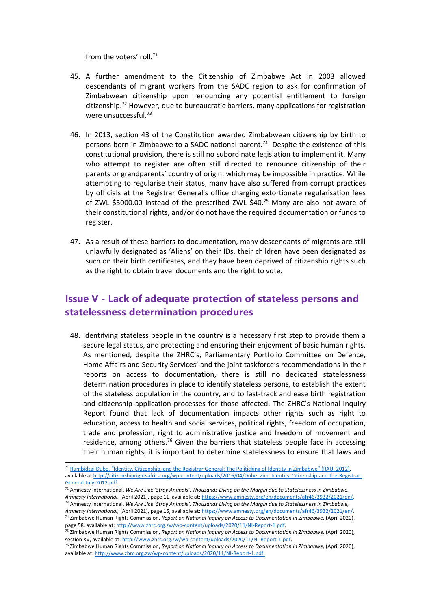from the voters' roll.<sup>71</sup>

- 45. A further amendment to the Citizenship of Zimbabwe Act in 2003 allowed descendants of migrant workers from the SADC region to ask for confirmation of Zimbabwean citizenship upon renouncing any potential entitlement to foreign citizenship.<sup>72</sup> However, due to bureaucratic barriers, many applications for registration were unsuccessful.<sup>73</sup>
- 46. In 2013, section 43 of the Constitution awarded Zimbabwean citizenship by birth to persons born in Zimbabwe to <sup>a</sup> SADC national parent. 74 Despite the existence of this constitutional provision, there is still no subordinate legislation to implement it. Many who attempt to register are often still directed to renounce citizenship of their parents or grandparents' country of origin, which may be impossible in practice. While attempting to regularise their status, many have also suffered from corrupt practices by officials at the Registrar General's office charging extortionate regularisation fees of ZWL \$5000.00 instead of the prescribed ZWL \$40. <sup>75</sup> Many are also not aware of their constitutional rights, and/or do not have the required documentation or funds to register.
- 47. As <sup>a</sup> result of these barriers to documentation, many descendants of migrants are still unlawfully designated as 'Aliens' on their IDs, their children have been designated as such on their birth certificates, and they have been deprived of citizenship rights such as the right to obtain travel documents and the right to vote.

# **Issue V - Lack of adequate protection of stateless persons and statelessness determination procedures**

48. Identifying stateless people in the country is <sup>a</sup> necessary first step to provide them <sup>a</sup> secure legal status, and protecting and ensuring their enjoyment of basic human rights. As mentioned, despite the ZHRC's, Parliamentary Portfolio Committee on Defence, Home Affairs and Security Services' and the joint taskforce'<sup>s</sup> recommendations in their reports on access to documentation, there is still no dedicated statelessness determination procedures in place to identify stateless persons, to establish the extent of the stateless population in the country, and to fast-track and ease birth registration and citizenship application processes for those affected. The ZHRC'<sup>s</sup> National Inquiry Report found that lack of documentation impacts other rights such as right to education, access to health and social services, political rights, freedom of occupation, trade and profession, right to administrative justice and freedom of movement and residence, among others.<sup>76</sup> Given the barriers that stateless people face in accessing their human rights, it is important to determine statelessness to ensure that laws and

<sup>&</sup>lt;sup>71</sup> Rumbidzai Dube, "Identity, [Citizenship,](http://citizenshiprightsafrica.org/identity-citizenship-and-the-registrar-general-the-politicking-of-identity-in-zimbabwe/) and the Registrar General: The Politicking of Identity in Zimbabwe" (RAU, 2012), available at [http://citizenshiprightsafrica.org/wp-content/uploads/2016/04/Dube\\_Zim\\_Identity-Citizenship-and-the-Registrar-](http://citizenshiprightsafrica.org/wp-content/uploads/2016/04/Dube_Zim_Identity-Citizenship-and-the-Registrar-General-July-2012.pdf)[General-July-2012.pdf](http://citizenshiprightsafrica.org/wp-content/uploads/2016/04/Dube_Zim_Identity-Citizenship-and-the-Registrar-General-July-2012.pdf).

 $^{72}$  Amnesty International, We Are Like 'Stray Animals'. Thousands Living on the Margin due to Statelessness in Zimbabwe, *Amnesty International,* (April 2021), page 11, available at: <https://www.amnesty.org/en/documents/afr46/3932/2021/en/>*.* <sup>73</sup> Amnesty International, We Are Like 'Stray Animals'. Thousands Living on the Margin due to Statelessness in Zimbabwe,

*Amnesty International,* (April 2021), page 15, available at: <https://www.amnesty.org/en/documents/afr46/3932/2021/en/>*.* 74 Zimbabwe Human Rights Commission, *Report on National Inquiry on Access to Documentation in Zimbabwe,* (April 2020), page 58, available at: <http://www.zhrc.org.zw/wp-content/uploads/2020/11/NI-Report-1.pdf>.

<sup>75</sup> Zimbabwe Human Rights Commission, *Report on National Inquiry on Access to Documentation in Zimbabwe,* (April 2020), section XV, available at: <http://www.zhrc.org.zw/wp-content/uploads/2020/11/NI-Report-1.pdf>.

<sup>76</sup> Zimbabwe Human Rights Commission, *Report on National Inquiry on Access to Documentation in Zimbabwe,* (April 2020), available at: <http://www.zhrc.org.zw/wp-content/uploads/2020/11/NI-Report-1.pdf>.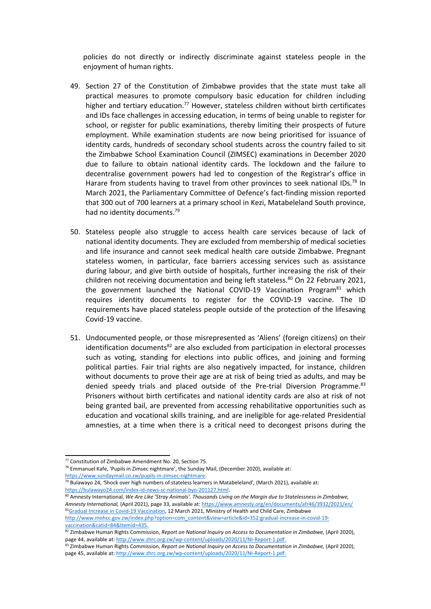policies do not directly or indirectly discriminate against stateless people in the enjoyment of human rights.

- 49. Section 27 of the Constitution of Zimbabwe provides that the state must take all practical measures to promote compulsory basic education for children including higher and tertiary education.<sup>77</sup> However, stateless children without birth certificates and IDs face challenges in accessing education, in terms of being unable to register for school, or register for public examinations, thereby limiting their prospects of future employment. While examination students are now being prioritised for issuance of identity cards, hundreds of secondary school students across the country failed to sit the Zimbabwe School Examination Council (ZIMSEC) examinations in December 2020 due to failure to obtain national identity cards. The lockdown and the failure to decentralise government powers had led to congestion of the Registrar'<sup>s</sup> office in Harare from students having to travel from other provinces to seek national IDs.<sup>78</sup> In March 2021, the Parliamentary Committee of Defence'<sup>s</sup> fact-finding mission reported that 300 out of 700 learners at <sup>a</sup> primary school in Kezi, Matabeleland South province, had no identity documents.<sup>79</sup>
- 50. Stateless people also struggle to access health care services because of lack of national identity documents. They are excluded from membership of medical societies and life insurance and cannot seek medical health care outside Zimbabwe. Pregnant stateless women, in particular, face barriers accessing services such as assistance during labour, and give birth outside of hospitals, further increasing the risk of their children not receiving documentation and being left stateless.<sup>80</sup> On 22 February 2021, the government launched the National COVID-19 Vaccination Program<sup>81</sup> which requires identity documents to register for the COVID-19 vaccine. The ID requirements have placed stateless people outside of the protection of the lifesaving Covid-19 vaccine.
- 51. Undocumented people, or those misrepresented as 'Aliens' (foreign citizens) on their identification documents<sup>82</sup> are also excluded from participation in electoral processes such as voting, standing for elections into public offices, and joining and forming political parties. Fair trial rights are also negatively impacted, for instance, children without documents to prove their age are at risk of being tried as adults, and may be denied speedy trials and placed outside of the Pre-trial Diversion Programme.<sup>83</sup> Prisoners without birth certificates and national identity cards are also at risk of not being granted bail, are prevented from accessing rehabilitative opportunities such as education and vocational skills training, and are ineligible for age-related Presidential amnesties, at <sup>a</sup> time when there is <sup>a</sup> critical need to decongest prisons during the

<sup>78</sup> Emmanuel Kafe, 'Pupils in Zimsec nightmare', the Sunday Mail, (December 2020), available at: <https://www.sundaymail.co.zw/pupils-in-zimsec-nightmare>.

<sup>77</sup> Constitution of Zimbabwe Amendment No. 20, Section 75.

<sup>79</sup> Bulawayo 24, *'*Shock over high numbers of stateless learners in Matabeleland'*,* (March 2021), available at: <https://bulawayo24.com/index-id-news-sc-national-byo-201127.html>.

<sup>&</sup>lt;sup>80</sup> Amnesty International, We Are Like 'Stray Animals'. Thousands Living on the Margin due to Statelessness in Zimbabwe, *Amnesty International,* (April 2021), page 33, available at: <https://www.amnesty.org/en/documents/afr46/3932/2021/en/> <sup>81</sup>Gradual Increase in Covid-19 [Vaccination](http://www.mohcc.gov.zw/index.php?option=com_content&view=article&id=352:gradual-increase-in-covid-19-vaccination&catid=84:frontpage&Itemid=435), 12 March 2021, Ministry of Health and Child Care, Zimbabwe [http://www.mohcc.gov.zw/index.php?option=com\\_content&view=article&id=352:gradual-increase-in-covid-19](http://www.mohcc.gov.zw/index.php?option=com_content&view=article&id=352:gradual-increase-in-covid-19-vaccination&catid=84&Itemid=435) [vaccination&catid=84&Itemid=435](http://www.mohcc.gov.zw/index.php?option=com_content&view=article&id=352:gradual-increase-in-covid-19-vaccination&catid=84&Itemid=435).

<sup>82</sup> Zimbabwe Human Rights Commission, *Report on National Inquiry on Access to Documentation in Zimbabwe,* (April 2020), page 44, available at: <http://www.zhrc.org.zw/wp-content/uploads/2020/11/NI-Report-1.pdf>.

<sup>83</sup> Zimbabwe Human Rights Commission, *Report on National Inquiry on Access to Documentation in Zimbabwe,* (April 2020), page 45, available at: <http://www.zhrc.org.zw/wp-content/uploads/2020/11/NI-Report-1.pdf>.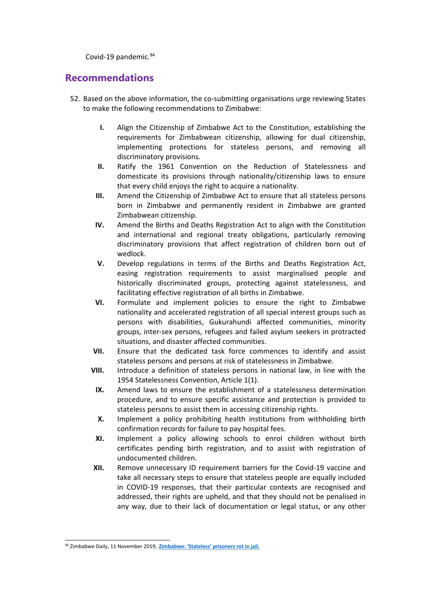Covid-19 pandemic.<sup>84</sup>

#### **Recommendations**

- 52. Based on the above information, the co-submitting organisations urge reviewing States to make the following recommendations to Zimbabwe:
	- **I.** Align the Citizenship of Zimbabwe Act to the Constitution, establishing the requirements for Zimbabwean citizenship, allowing for dual citizenship, implementing protections for stateless persons, and removing all discriminatory provisions*.*
	- **II.** Ratify the 1961 Convention on the Reduction of Statelessness and domesticate its provisions through nationality/citizenship laws to ensure that every child enjoys the right to acquire <sup>a</sup> nationality.
	- **III.** Amend the Citizenship of Zimbabwe Act to ensure that all stateless persons born in Zimbabwe and permanently resident in Zimbabwe are granted Zimbabwean citizenship.
	- **IV.** Amend the Births and Deaths Registration Act to align with the Constitution and international and regional treaty obligations, particularly removing discriminatory provisions that affect registration of children born out of wedlock.
	- **V.** Develop regulations in terms of the Births and Deaths Registration Act, easing registration requirements to assist marginalised people and historically discriminated groups, protecting against statelessness, and facilitating effective registration of all births in Zimbabwe.
	- **VI.** Formulate and implement policies to ensure the right to Zimbabwe nationality and accelerated registration of all special interest groups such as persons with disabilities, Gukurahundi affected communities, minority groups, inter-sex persons, refugees and failed asylum seekers in protracted situations, and disaster affected communities.
	- **VII.** Ensure that the dedicated task force commences to identify and assist stateless persons and persons at risk of statelessness in Zimbabwe.
	- **VIII.** Introduce <sup>a</sup> definition of stateless persons in national law, in line with the 1954 Statelessness Convention, Article 1(1).
		- **IX.** Amend laws to ensure the establishment of <sup>a</sup> statelessness determination procedure, and to ensure specific assistance and protection is provided to stateless persons to assist them in accessing citizenship rights.
		- **X.** Implement <sup>a</sup> policy prohibiting health institutions from withholding birth confirmation records for failure to pay hospital fees.
		- **XI.** Implement <sup>a</sup> policy allowing schools to enrol children without birth certificates pending birth registration, and to assist with registration of undocumented children.
	- **XII.** Remove unnecessary ID requirement barriers for the Covid-19 vaccine and take all necessary steps to ensure that stateless people are equally included in COVID-19 responses, that their particular contexts are recognised and addressed, their rights are upheld, and that they should not be penalised in any way, due to their lack of documentation or legal status, or any other

<sup>84</sup> Zimbabwe Daily, 11 November 2019, **Zimbabwe: 'Stateless' [prisoners](https://citizenshiprightsafrica.org/zimbabwe-stateless-prisoners-rot-in-jail/) rot in jail.**